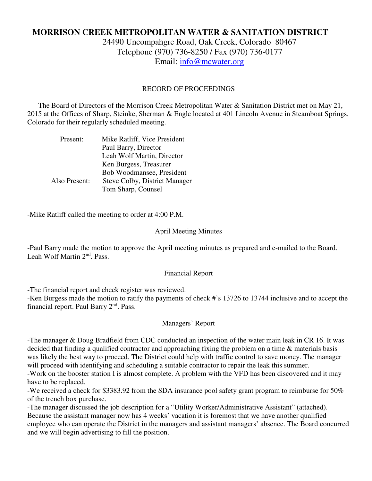# **MORRISON CREEK METROPOLITAN WATER & SANITATION DISTRICT**

24490 Uncompahgre Road, Oak Creek, Colorado 80467 Telephone (970) 736-8250 / Fax (970) 736-0177 Email: info@mcwater.org

### RECORD OF PROCEEDINGS

 The Board of Directors of the Morrison Creek Metropolitan Water & Sanitation District met on May 21, 2015 at the Offices of Sharp, Steinke, Sherman & Engle located at 401 Lincoln Avenue in Steamboat Springs, Colorado for their regularly scheduled meeting.

| Present:      | Mike Ratliff, Vice President  |
|---------------|-------------------------------|
|               | Paul Barry, Director          |
|               | Leah Wolf Martin, Director    |
|               | Ken Burgess, Treasurer        |
|               | Bob Woodmansee, President     |
| Also Present: | Steve Colby, District Manager |
|               | Tom Sharp, Counsel            |

-Mike Ratliff called the meeting to order at 4:00 P.M.

#### April Meeting Minutes

-Paul Barry made the motion to approve the April meeting minutes as prepared and e-mailed to the Board. Leah Wolf Martin 2nd. Pass.

#### Financial Report

-The financial report and check register was reviewed.

-Ken Burgess made the motion to ratify the payments of check #'s 13726 to 13744 inclusive and to accept the financial report. Paul Barry 2<sup>nd</sup>. Pass.

### Managers' Report

-The manager & Doug Bradfield from CDC conducted an inspection of the water main leak in CR 16. It was decided that finding a qualified contractor and approaching fixing the problem on a time & materials basis was likely the best way to proceed. The District could help with traffic control to save money. The manager will proceed with identifying and scheduling a suitable contractor to repair the leak this summer.

-Work on the booster station I is almost complete. A problem with the VFD has been discovered and it may have to be replaced.

-We received a check for \$3383.92 from the SDA insurance pool safety grant program to reimburse for 50% of the trench box purchase.

-The manager discussed the job description for a "Utility Worker/Administrative Assistant" (attached). Because the assistant manager now has 4 weeks' vacation it is foremost that we have another qualified employee who can operate the District in the managers and assistant managers' absence. The Board concurred and we will begin advertising to fill the position.